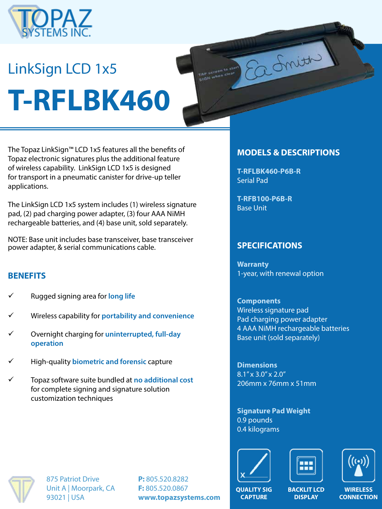

# LinkSign LCD 1x5 **T-RFLBK460**

The Topaz LinkSign™ LCD 1x5 features all the benefits of Topaz electronic signatures plus the additional feature of wireless capability. LinkSign LCD 1x5 is designed for transport in a pneumatic canister for drive-up teller applications.

The LinkSign LCD 1x5 system includes (1) wireless signature pad, (2) pad charging power adapter, (3) four AAA NiMH rechargeable batteries, and (4) base unit, sold separately.

NOTE: Base unit includes base transceiver, base transceiver power adapter, & serial communications cable.

## **BENEFITS**

- ü Rugged signing area for **long life**
- ü Wireless capability for **portability and convenience**
- ü Overnight charging for **uninterrupted, full-day operation**
- ü High-quality **biometric and forensic** capture
- ü Topaz software suite bundled at **no additional cost**  for complete signing and signature solution customization techniques

#### **MODELS & DESCRIPTIONS**

into the

**T-RFLBK460-P6B-R** Serial Pad

**T-RFB100-P6B-R** Base Unit

## **SPECIFICATIONS**

**Warranty** 1-year, with renewal option

**Components** Wireless signature pad Pad charging power adapter 4 AAA NiMH rechargeable batteries Base unit (sold separately)

**Dimensions** 8.1" x 3.0" x 2.0" 206mm x 76mm x 51mm

**Signature Pad Weight** 0.9 pounds 0.4 kilograms







875 Patriot Drive Unit A | Moorpark, CA 93021 | USA

**P:** 805.520.8282 **F:** 805.520.0867 **www.topazsystems.com**

**QUALITY SIG CAPTURE**

**BACKLIT LCD DISPLAY**

**WIRELESS CONNECTION**